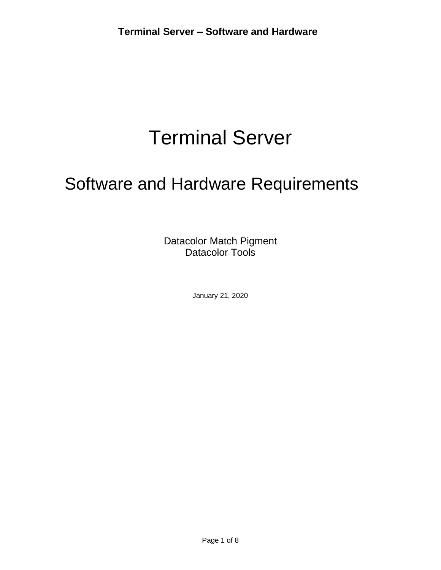# Terminal Server

# Software and Hardware Requirements

Datacolor Match Pigment Datacolor Tools

January 21, 2020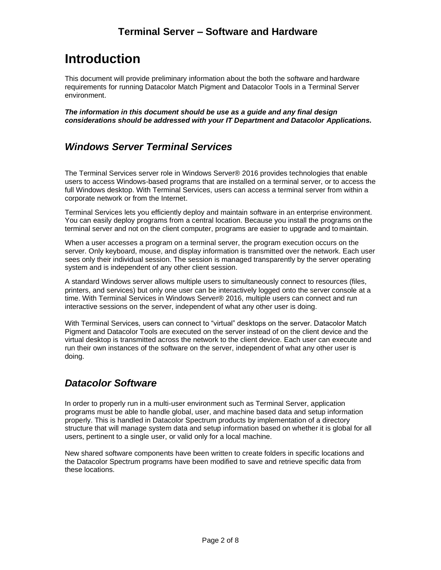### **Terminal Server – Software and Hardware**

# **Introduction**

This document will provide preliminary information about the both the software andhardware requirements for running Datacolor Match Pigment and Datacolor Tools in a Terminal Server environment.

*The information in this document should be use as a guide and any final design considerations should be addressed with your IT Department and Datacolor Applications.*

### *Windows Server Terminal Services*

The Terminal Services server role in Windows Server® 2016 provides technologies that enable users to access Windows-based programs that are installed on a terminal server, or to access the full Windows desktop. With Terminal Services, users can access a terminal server from within a corporate network or from the Internet.

Terminal Services lets you efficiently deploy and maintain software in an enterprise environment. You can easily deploy programs from a central location. Because you install the programs onthe terminal server and not on the client computer, programs are easier to upgrade and to maintain.

When a user accesses a program on a terminal server, the program execution occurs on the server. Only keyboard, mouse, and display information is transmitted over the network. Each user sees only their individual session. The session is managed transparently by the server operating system and is independent of any other client session.

A standard Windows server allows multiple users to simultaneously connect to resources (files, printers, and services) but only one user can be interactively logged onto the server console at a time. With Terminal Services in Windows Server® 2016, multiple users can connect and run interactive sessions on the server, independent of what any other user is doing.

With Terminal Services, users can connect to "virtual" desktops on the server. Datacolor Match Pigment and Datacolor Tools are executed on the server instead of on the client device and the virtual desktop is transmitted across the network to the client device. Each user can execute and run their own instances of the software on the server, independent of what any other user is doing.

## *Datacolor Software*

In order to properly run in a multi-user environment such as Terminal Server, application programs must be able to handle global, user, and machine based data and setup information properly. This is handled in Datacolor Spectrum products by implementation of a directory structure that will manage system data and setup information based on whether it is global for all users, pertinent to a single user, or valid only for a local machine.

New shared software components have been written to create folders in specific locations and the Datacolor Spectrum programs have been modified to save and retrieve specific data from these locations.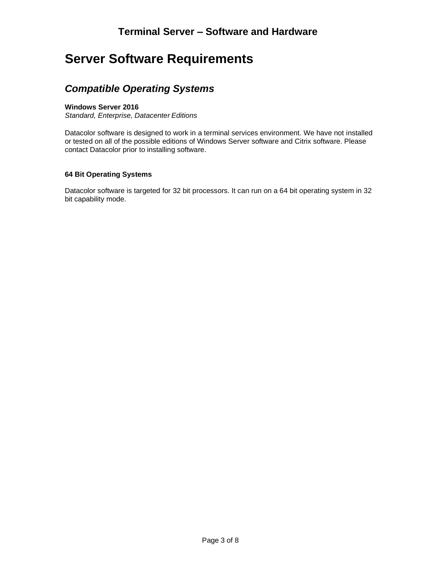# **Server Software Requirements**

### *Compatible Operating Systems*

#### **Windows Server 2016**

*Standard, Enterprise, Datacenter Editions*

Datacolor software is designed to work in a terminal services environment. We have not installed or tested on all of the possible editions of Windows Server software and Citrix software. Please contact Datacolor prior to installing software.

#### **64 Bit Operating Systems**

Datacolor software is targeted for 32 bit processors. It can run on a 64 bit operating system in 32 bit capability mode.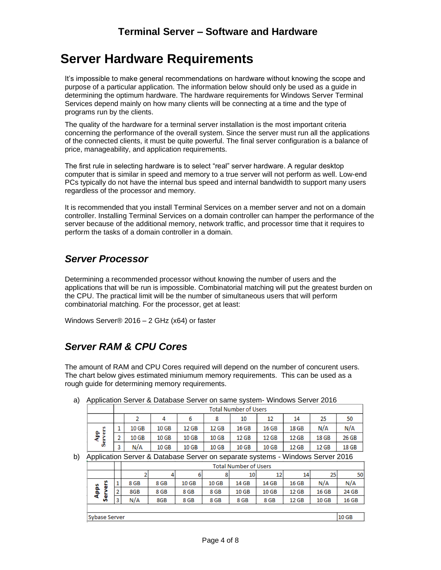## **Server Hardware Requirements**

It's impossible to make general recommendations on hardware without knowing the scope and purpose of a particular application. The information below should only be used as a guide in determining the optimum hardware. The hardware requirements for Windows Server Terminal Services depend mainly on how many clients will be connecting at a time and the type of programs run by the clients.

The quality of the hardware for a terminal server installation is the most important criteria concerning the performance of the overall system. Since the server must run all the applications of the connected clients, it must be quite powerful. The final server configuration is a balance of price, manageability, and application requirements.

The first rule in selecting hardware is to select "real" server hardware. A regular desktop computer that is similar in speed and memory to a true server will not perform as well. Low-end PCs typically do not have the internal bus speed and internal bandwidth to support many users regardless of the processor and memory.

It is recommended that you install Terminal Services on a member server and not on a domain controller. Installing Terminal Services on a domain controller can hamper the performance of the server because of the additional memory, network traffic, and processor time that it requires to perform the tasks of a domain controller in a domain.

## *Server Processor*

Determining a recommended processor without knowing the number of users and the applications that will be run is impossible. Combinatorial matching will put the greatest burden on the CPU. The practical limit will be the number of simultaneous users that will perform combinatorial matching. For the processor, get at least:

Windows Server® 2016 – 2 GHz (x64) or faster

 $N/A$ 

 $10<sub>GB</sub>$ 

## *Server RAM & CPU Cores*

The amount of RAM and CPU Cores required will depend on the number of concurent users. The chart below gives estimated miniumum memory requirements. This can be used as a rough guide for determining memory requirements.

| Application Server & Database Server on same system-villidows Server 2016 |                              |       |       |       |       |       |       |       |       |       |
|---------------------------------------------------------------------------|------------------------------|-------|-------|-------|-------|-------|-------|-------|-------|-------|
|                                                                           | <b>Total Number of Users</b> |       |       |       |       |       |       |       |       |       |
|                                                                           |                              |       |       |       |       | 10    | 12    | 14    | 25    | -50   |
|                                                                           |                              | 10 GB | 10 GB | 12 GB | 12 GB | 16 GB | 16 GB | 18 GB | N/A   | N/A   |
| ę,<br>œ                                                                   | ×                            | 10 GB | 10 GB | 10 GB | 10 GB | 12 GB | 12 GB | 12 GB | 18 GB | 26 GB |

a) Application Server & Database Server on same system- Windows Server 2016

 $10<sub>GB</sub>$ 

10 GB b) Application Server & Database Server on separate systems - Windows Server 2016

| . .           |   |                              |      |       |       | <u>ж.</u> |       |       |       |       |
|---------------|---|------------------------------|------|-------|-------|-----------|-------|-------|-------|-------|
|               |   | <b>Total Number of Users</b> |      |       |       |           |       |       |       |       |
|               |   |                              |      | 6     |       | 10        | 12    | 14    | 25    | 50    |
| n<br>ö        |   | 8 GB                         | 8 GB | 10 GB | 10 GB | 14 GB     | 14 GB | 16 GB | N/A   | N/A   |
| Apps          | n | 8GB                          | 8 GB | 8 GB  | 8 GB  | 10 GB     | 10 GB | 12 GB | 16 GB | 24 GB |
| မ္တီ          | з | N/A                          | 8GB  | 8 GB  | 8 GB  | 8 GB      | 8 GB  | 12 GB | 10 GB | 16 GB |
|               |   |                              |      |       |       |           |       |       |       |       |
| Sybase Server |   |                              |      |       |       |           |       |       | 10 GB |       |

**10 GB** 

10 GB

 $12$  GB

12 GB

18 GB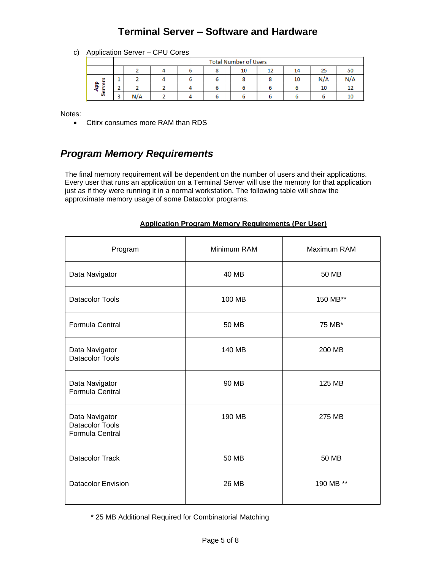## **Terminal Server – Software and Hardware**

c) Application Server – CPU Cores

|  |                             | <b>Total Number of Users</b> |     |  |  |  |    |    |    |     |     |
|--|-----------------------------|------------------------------|-----|--|--|--|----|----|----|-----|-----|
|  |                             |                              |     |  |  |  | 10 | 12 | 14 | 25  |     |
|  | <b>DA</b><br>ß,<br>a.<br>ч. |                              |     |  |  |  |    |    | 10 | N/A | N/A |
|  |                             |                              |     |  |  |  |    |    |    | 10  |     |
|  | ä                           | ×.<br>ت                      | N/A |  |  |  |    |    |    |     |     |

Notes:

• Citirx consumes more RAM than RDS

## *Program Memory Requirements*

The final memory requirement will be dependent on the number of users and their applications. Every user that runs an application on a Terminal Server will use the memory for that application just as if they were running it in a normal workstation. The following table will show the approximate memory usage of some Datacolor programs.

| Program                                                     | Minimum RAM | Maximum RAM |
|-------------------------------------------------------------|-------------|-------------|
| Data Navigator                                              | 40 MB       | 50 MB       |
| <b>Datacolor Tools</b>                                      | 100 MB      | 150 MB**    |
| <b>Formula Central</b>                                      | 50 MB       | 75 MB*      |
| Data Navigator<br><b>Datacolor Tools</b>                    | 140 MB      | 200 MB      |
| Data Navigator<br><b>Formula Central</b>                    | 90 MB       | 125 MB      |
| Data Navigator<br><b>Datacolor Tools</b><br>Formula Central | 190 MB      | 275 MB      |
| <b>Datacolor Track</b>                                      | 50 MB       | 50 MB       |
| <b>Datacolor Envision</b>                                   | 26 MB       | 190 MB **   |

#### **Application Program Memory Requirements (Per User)**

\* 25 MB Additional Required for Combinatorial Matching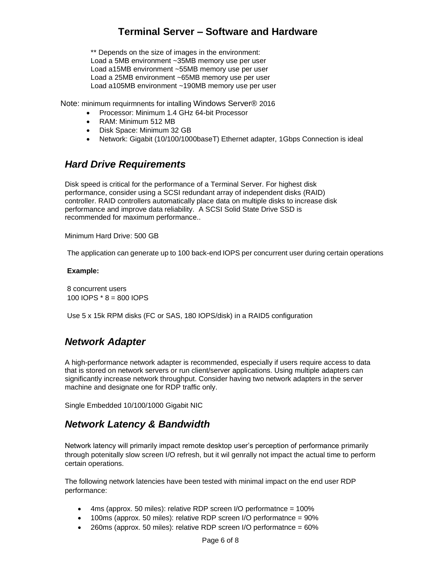## **Terminal Server – Software and Hardware**

\*\* Depends on the size of images in the environment: Load a 5MB environment ~35MB memory use per user Load a15MB environment ~55MB memory use per user Load a 25MB environment ~65MB memory use per user Load a105MB environment ~190MB memory use per user

Note: minimum requirmnents for intalling Windows Server® 2016

- Processor: Minimum 1.4 GHz 64-bit Processor
- RAM: Minimum 512 MB
- Disk Space: Minimum 32 GB
- Network: Gigabit (10/100/1000baseT) Ethernet adapter, 1Gbps Connection is ideal

#### *Hard Drive Requirements*

Disk speed is critical for the performance of a Terminal Server. For highest disk performance, consider using a SCSI redundant array of independent disks (RAID) controller. RAID controllers automatically place data on multiple disks to increase disk performance and improve data reliability. A SCSI Solid State Drive SSD is recommended for maximum performance..

Minimum Hard Drive: 500 GB

The application can generate up to 100 back-end IOPS per concurrent user during certain operations

#### **Example:**

8 concurrent users 100 IOPS \* 8 = 800 IOPS

Use 5 x 15k RPM disks (FC or SAS, 180 IOPS/disk) in a RAID5 configuration

#### *Network Adapter*

A high-performance network adapter is recommended, especially if users require access to data that is stored on network servers or run client/server applications. Using multiple adapters can significantly increase network throughput. Consider having two network adapters in the server machine and designate one for RDP traffic only.

Single Embedded 10/100/1000 Gigabit NIC

#### *Network Latency & Bandwidth*

Network latency will primarily impact remote desktop user's perception of performance primarily through potenitally slow screen I/O refresh, but it wil genrally not impact the actual time to perform certain operations.

The following network latencies have been tested with minimal impact on the end user RDP performance:

- $4$ ms (approx. 50 miles): relative RDP screen I/O performatnce = 100%
- 100ms (approx. 50 miles): relative RDP screen I/O performatnce = 90%
- $\bullet$  260ms (approx. 50 miles): relative RDP screen I/O performatnce = 60%